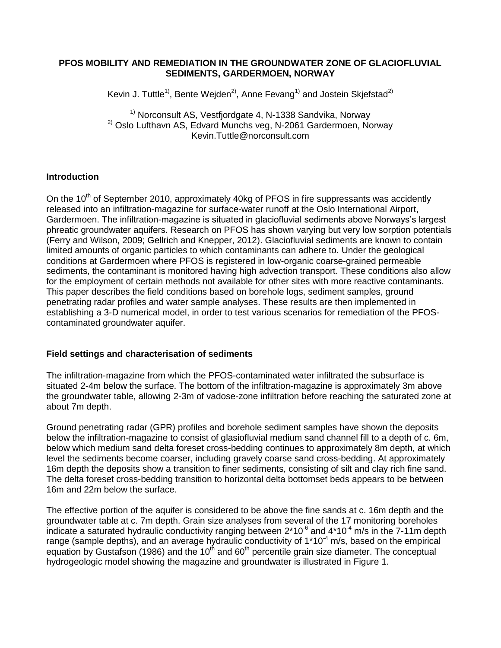#### **PFOS MOBILITY AND REMEDIATION IN THE GROUNDWATER ZONE OF GLACIOFLUVIAL SEDIMENTS, GARDERMOEN, NORWAY**

Kevin J. Tuttle<sup>1)</sup>, Bente Wejden<sup>2)</sup>, Anne Fevang<sup>1)</sup> and Jostein Skjefstad<sup>2)</sup>

 $1)$  Norconsult AS, Vestfjordgate 4, N-1338 Sandvika, Norway  $^{2)}$  Oslo Lufthavn AS, Edvard Munchs veg, N-2061 Gardermoen, Norway Kevin.Tuttle@norconsult.com

#### **Introduction**

On the 10<sup>th</sup> of September 2010, approximately 40kg of PFOS in fire suppressants was accidently released into an infiltration-magazine for surface-water runoff at the Oslo International Airport, Gardermoen. The infiltration-magazine is situated in glaciofluvial sediments above Norways's largest phreatic groundwater aquifers. Research on PFOS has shown varying but very low sorption potentials (Ferry and Wilson, 2009; Gellrich and Knepper, 2012). Glaciofluvial sediments are known to contain limited amounts of organic particles to which contaminants can adhere to. Under the geological conditions at Gardermoen where PFOS is registered in low-organic coarse-grained permeable sediments, the contaminant is monitored having high advection transport. These conditions also allow for the employment of certain methods not available for other sites with more reactive contaminants. This paper describes the field conditions based on borehole logs, sediment samples, ground penetrating radar profiles and water sample analyses. These results are then implemented in establishing a 3-D numerical model, in order to test various scenarios for remediation of the PFOScontaminated groundwater aquifer.

#### **Field settings and characterisation of sediments**

The infiltration-magazine from which the PFOS-contaminated water infiltrated the subsurface is situated 2-4m below the surface. The bottom of the infiltration-magazine is approximately 3m above the groundwater table, allowing 2-3m of vadose-zone infiltration before reaching the saturated zone at about 7m depth.

Ground penetrating radar (GPR) profiles and borehole sediment samples have shown the deposits below the infiltration-magazine to consist of glasiofluvial medium sand channel fill to a depth of c. 6m, below which medium sand delta foreset cross-bedding continues to approximately 8m depth, at which level the sediments become coarser, including gravely coarse sand cross-bedding. At approximately 16m depth the deposits show a transition to finer sediments, consisting of silt and clay rich fine sand. The delta foreset cross-bedding transition to horizontal delta bottomset beds appears to be between 16m and 22m below the surface.

The effective portion of the aquifer is considered to be above the fine sands at c. 16m depth and the groundwater table at c. 7m depth. Grain size analyses from several of the 17 monitoring boreholes indicate a saturated hydraulic conductivity ranging between  $2*10^6$  and  $4*10^4$  m/s in the 7-11m depth range (sample depths), and an average hydraulic conductivity of  $1*10^{-4}$  m/s, based on the empirical equation by Gustafson (1986) and the 10<sup>th</sup> and 60<sup>th</sup> percentile grain size diameter. The conceptual hydrogeologic model showing the magazine and groundwater is illustrated in [Figure 1.](#page-1-0)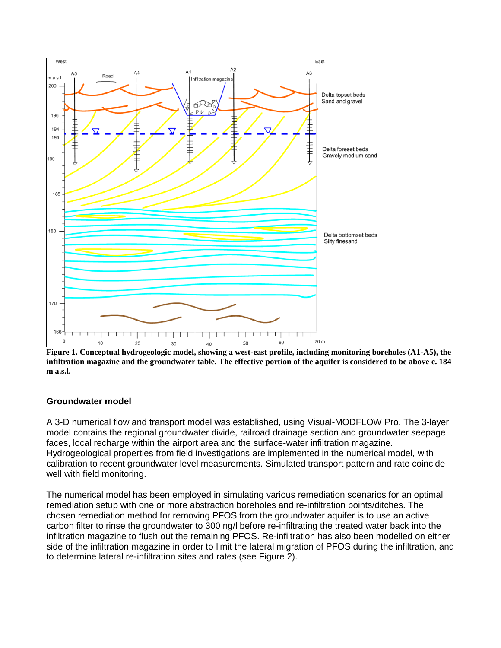

<span id="page-1-0"></span>**Figure 1. Conceptual hydrogeologic model, showing a west-east profile, including monitoring boreholes (A1-A5), the infiltration magazine and the groundwater table. The effective portion of the aquifer is considered to be above c. 184 m a.s.l.**

# **Groundwater model**

A 3-D numerical flow and transport model was established, using Visual-MODFLOW Pro. The 3-layer model contains the regional groundwater divide, railroad drainage section and groundwater seepage faces, local recharge within the airport area and the surface-water infiltration magazine. Hydrogeological properties from field investigations are implemented in the numerical model, with calibration to recent groundwater level measurements. Simulated transport pattern and rate coincide well with field monitoring.

The numerical model has been employed in simulating various remediation scenarios for an optimal remediation setup with one or more abstraction boreholes and re-infiltration points/ditches. The chosen remediation method for removing PFOS from the groundwater aquifer is to use an active carbon filter to rinse the groundwater to 300 ng/l before re-infiltrating the treated water back into the infiltration magazine to flush out the remaining PFOS. Re-infiltration has also been modelled on either side of the infiltration magazine in order to limit the lateral migration of PFOS during the infiltration, and to determine lateral re-infiltration sites and rates (see [Figure 2\)](#page-2-0).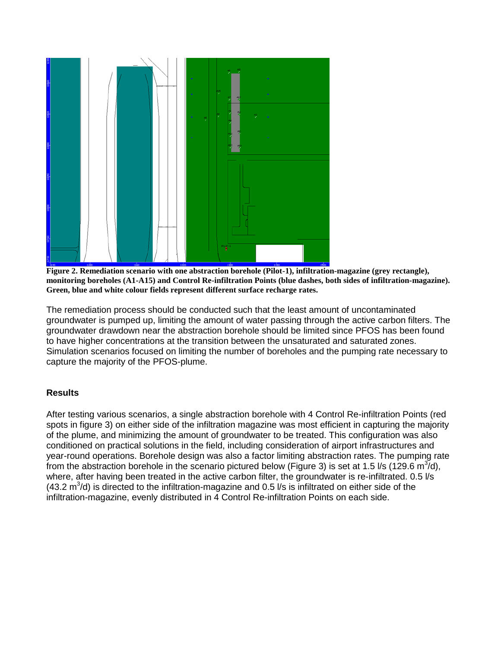

<span id="page-2-0"></span>**Figure 2. Remediation scenario with one abstraction borehole (Pilot-1), infiltration-magazine (grey rectangle), monitoring boreholes (A1-A15) and Control Re-infiltration Points (blue dashes, both sides of infiltration-magazine). Green, blue and white colour fields represent different surface recharge rates.**

The remediation process should be conducted such that the least amount of uncontaminated groundwater is pumped up, limiting the amount of water passing through the active carbon filters. The groundwater drawdown near the abstraction borehole should be limited since PFOS has been found to have higher concentrations at the transition between the unsaturated and saturated zones. Simulation scenarios focused on limiting the number of boreholes and the pumping rate necessary to capture the majority of the PFOS-plume.

# **Results**

After testing various scenarios, a single abstraction borehole with 4 Control Re-infiltration Points (red spots in figure 3) on either side of the infiltration magazine was most efficient in capturing the majority of the plume, and minimizing the amount of groundwater to be treated. This configuration was also conditioned on practical solutions in the field, including consideration of airport infrastructures and year-round operations. Borehole design was also a factor limiting abstraction rates. The pumping rate from the abstraction borehole in the scenario pictured below [\(Figure 3\)](#page-3-0) is set at 1.5 l/s (129.6 m<sup>3</sup>/d), where, after having been treated in the active carbon filter, the groundwater is re-infiltrated. 0.5 l/s (43.2  $\text{m}^3$ /d) is directed to the infiltration-magazine and 0.5 l/s is infiltrated on either side of the infiltration-magazine, evenly distributed in 4 Control Re-infiltration Points on each side.